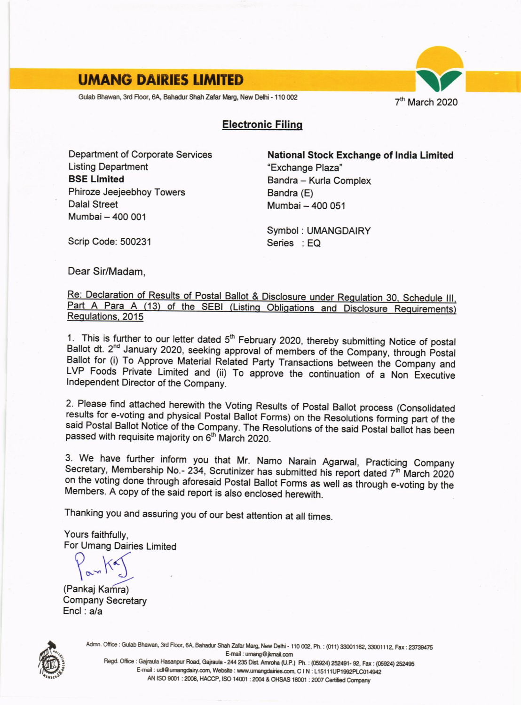## **UMANG DAIRIES LIMITED**

Gulab Bhawan, 3rd Floor, 6A, Bahadur Shah Zafar Marg, New Delhi - 110 002

7<sup>th</sup> March 2020

## **Electronic Filing**

Department of Corporate Services **Listing Department BSE Limited** Phiroze Jeejeebhoy Towers **Dalal Street** Mumbai - 400 001

**National Stock Exchange of India Limited** "Exchange Plaza" Bandra - Kurla Complex Bandra (E) Mumbai - 400 051

Symbol: UMANGDAIRY Series : EQ

Scrip Code: 500231

Dear Sir/Madam.

Re: Declaration of Results of Postal Ballot & Disclosure under Regulation 30, Schedule III, Part A Para A (13) of the SEBI (Listing Obligations and Disclosure Requirements) Regulations, 2015

1. This is further to our letter dated 5<sup>th</sup> February 2020, thereby submitting Notice of postal Ballot dt. 2<sup>nd</sup> January 2020, seeking approval of members of the Company, through Postal Ballot for (i) To Approve Material Related Party Transactions between the Company and LVP Foods Private Limited and (ii) To approve the continuation of a Non Executive Independent Director of the Company.

2. Please find attached herewith the Voting Results of Postal Ballot process (Consolidated results for e-voting and physical Postal Ballot Forms) on the Resolutions forming part of the said Postal Ballot Notice of the Company. The Resolutions of the said Postal ballot has been passed with requisite majority on 6<sup>th</sup> March 2020.

3. We have further inform you that Mr. Namo Narain Agarwal, Practicing Company Secretary, Membership No.- 234, Scrutinizer has submitted his report dated 7<sup>th</sup> March 2020 on the voting done through aforesaid Postal Ballot Forms as well as through e-voting by the Members. A copy of the said report is also enclosed herewith.

Thanking you and assuring you of our best attention at all times.

Yours faithfully. For Umang Dairies Limited

(Pankaj Kamra) **Company Secretary**  $Encl : a/a$ 



Admn. Office: Gulab Bhawan, 3rd Floor, 6A, Bahadur Shah Zafar Marg, New Delhi - 110 002, Ph.: (011) 33001162, 33001112, Fax: 23739475 E-mail: umang@jkmail.com

Regd. Office : Gajraula Hasanpur Road, Gajraula - 244 235 Dist. Amroha (U.P.) Ph. : (05924) 252491- 92, Fax : (05924) 252495 E-mail : udl@umangdairy.com, Website : www.umangdairies.com, C I N : L15111UP1992PLC014942 AN ISO 9001 : 2008, HACCP, ISO 14001 : 2004 & OHSAS 18001 : 2007 Certified Company